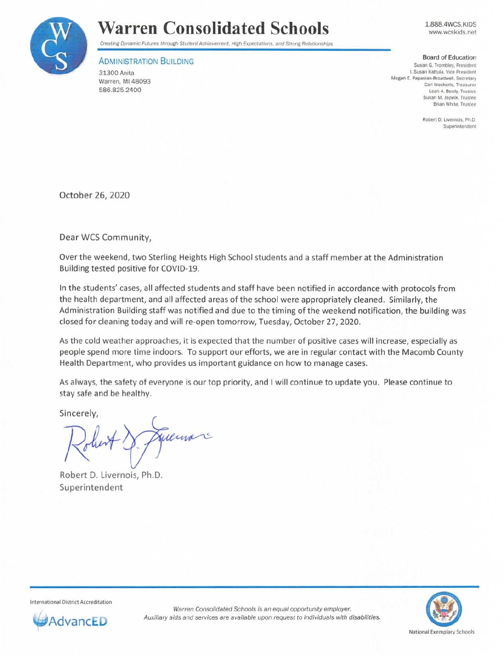

## **Warren Consolidated Schools**

1.888.4WCS.KIDS www.wcskids.net

Creating Dynamic Futures through Student Achievement. High Expectations, and Strong Relationships

## ADMINISTRATION BUILDING

31300 Anita Warren, Ml 48093 586.825.2400

## Board of Education

Susan G. Trombley. President I. Susan Kattula, Vice Pres1clent **Megan E. Papasian-BroadweU, Secretary Carl Weckerle, Treasure, Leah A. Berdy, Trustee Susan M. Jozwik. Trustee Brian White, Trustee** 

> Robert D. Livernois, Ph.D. **Superintendent**

October 26, 2020

Dear WCS Community,

Over the weekend, two Sterling Heights High School students and a staff member at the Administration Building tested positive for COVID-19.

In the students' cases, all affected students and staff have been notified in accordance with protocols from the health department, and all affected areas of the school were appropriately cleaned. Similarly, the Administration Building staff was notified and due to the timing of the weekend notification, the building was closed for cleaning today and will re-open tomorrow, Tuesday, October 27, 2020.

As the cold weather approaches, it is expected that the number of positive cases will increase, especially as people spend more time indoors. To support our efforts, we are in regular contact with the Macomb County Health Department, who provides us important guidance on how to manage cases.

As always, the safety of everyone is our top priority, and I will continue to update you. Please continue to stay safe and be healthy.

Sincerely,

Juliuan

Robert D. Livernois, Ph.D. Superintendent

International District Accreditation



Warren Consolidated Schools is an equal opportunity employer. AdvancED **Auxiliary aids and services are available upon request to individuals with disabilities.**